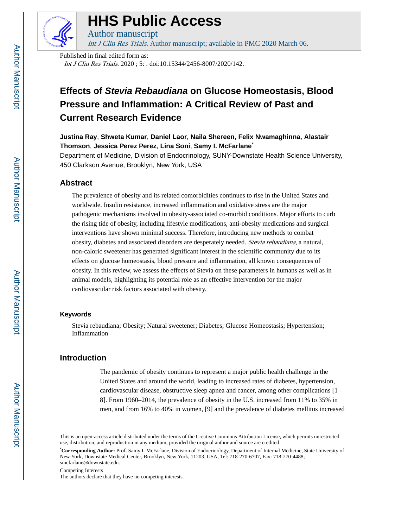

# **HHS Public Access**

Int J Clin Res Trials. Author manuscript; available in PMC 2020 March 06.

Published in final edited form as: Int J Clin Res Trials. 2020 ; 5: . doi:10.15344/2456-8007/2020/142.

Author manuscript

## **Effects of Stevia Rebaudiana on Glucose Homeostasis, Blood Pressure and Inflammation: A Critical Review of Past and Current Research Evidence**

**Justina Ray**, **Shweta Kumar**, **Daniel Laor**, **Naila Shereen**, **Felix Nwamaghinna**, **Alastair Thomson**, **Jessica Perez Perez**, **Lina Soni**, **Samy I. McFarlane**\*

Department of Medicine, Division of Endocrinology, SUNY-Downstate Health Science University, 450 Clarkson Avenue, Brooklyn, New York, USA

#### **Abstract**

The prevalence of obesity and its related comorbidities continues to rise in the United States and worldwide. Insulin resistance, increased inflammation and oxidative stress are the major pathogenic mechanisms involved in obesity-associated co-morbid conditions. Major efforts to curb the rising tide of obesity, including lifestyle modifications, anti-obesity medications and surgical interventions have shown minimal success. Therefore, introducing new methods to combat obesity, diabetes and associated disorders are desperately needed. Stevia rebaudiana, a natural, non-caloric sweetener has generated significant interest in the scientific community due to its effects on glucose homeostasis, blood pressure and inflammation, all known consequences of obesity. In this review, we assess the effects of Stevia on these parameters in humans as well as in animal models, highlighting its potential role as an effective intervention for the major cardiovascular risk factors associated with obesity.

#### **Keywords**

Stevia rebaudiana; Obesity; Natural sweetener; Diabetes; Glucose Homeostasis; Hypertension; Inflammation

#### **Introduction**

The pandemic of obesity continues to represent a major public health challenge in the United States and around the world, leading to increased rates of diabetes, hypertension, cardiovascular disease, obstructive sleep apnea and cancer, among other complications [1– 8]. From 1960–2014, the prevalence of obesity in the U.S. increased from 11% to 35% in men, and from 16% to 40% in women, [9] and the prevalence of diabetes mellitus increased

Competing Interests

This is an open-access article distributed under the terms of the Creative Commons Attribution License, which permits unrestricted use, distribution, and reproduction in any medium, provided the original author and source are credited.

<sup>\*</sup>**Corresponding Author:** Prof. Samy I. McFarlane, Division of Endocrinology, Department of Internal Medicine, State University of New York, Downstate Medical Center, Brooklyn, New York, 11203, USA, Tel: 718-270-6707, Fax: 718-270-4488; smcfarlane@downstate.edu.

The authors declare that they have no competing interests.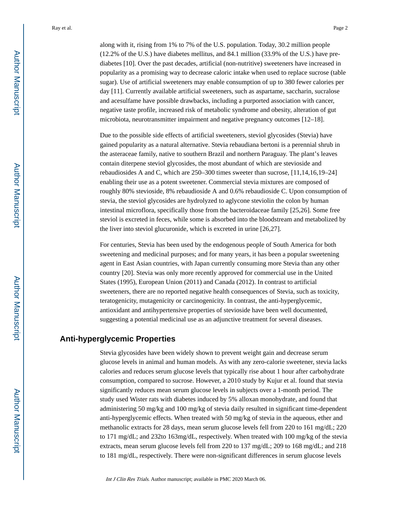along with it, rising from 1% to 7% of the U.S. population. Today, 30.2 million people (12.2% of the U.S.) have diabetes mellitus, and 84.1 million (33.9% of the U.S.) have prediabetes [10]. Over the past decades, artificial (non-nutritive) sweeteners have increased in popularity as a promising way to decrease caloric intake when used to replace sucrose (table sugar). Use of artificial sweeteners may enable consumption of up to 380 fewer calories per day [11]. Currently available artificial sweeteners, such as aspartame, saccharin, sucralose and acesulfame have possible drawbacks, including a purported association with cancer, negative taste profile, increased risk of metabolic syndrome and obesity, alteration of gut microbiota, neurotransmitter impairment and negative pregnancy outcomes [12–18].

Due to the possible side effects of artificial sweeteners, steviol glycosides (Stevia) have gained popularity as a natural alternative. Stevia rebaudiana bertoni is a perennial shrub in the asteraceae family, native to southern Brazil and northern Paraguay. The plant's leaves contain diterpene steviol glycosides, the most abundant of which are stevioside and rebaudiosides A and C, which are 250–300 times sweeter than sucrose, [11,14,16,19–24] enabling their use as a potent sweetener. Commercial stevia mixtures are composed of roughly 80% stevioside, 8% rebaudioside A and 0.6% rebaudioside C. Upon consumption of stevia, the steviol glycosides are hydrolyzed to aglycone steviolin the colon by human intestinal microflora, specifically those from the bacteroidaceae family [25,26]. Some free steviol is excreted in feces, while some is absorbed into the bloodstream and metabolized by the liver into steviol glucuronide, which is excreted in urine [26,27].

For centuries, Stevia has been used by the endogenous people of South America for both sweetening and medicinal purposes; and for many years, it has been a popular sweetening agent in East Asian countries, with Japan currently consuming more Stevia than any other country [20]. Stevia was only more recently approved for commercial use in the United States (1995), European Union (2011) and Canada (2012). In contrast to artificial sweeteners, there are no reported negative health consequences of Stevia, such as toxicity, teratogenicity, mutagenicity or carcinogenicity. In contrast, the anti-hyperglycemic, antioxidant and antihypertensive properties of stevioside have been well documented, suggesting a potential medicinal use as an adjunctive treatment for several diseases.

#### **Anti-hyperglycemic Properties**

Stevia glycosides have been widely shown to prevent weight gain and decrease serum glucose levels in animal and human models. As with any zero-calorie sweetener, stevia lacks calories and reduces serum glucose levels that typically rise about 1 hour after carbohydrate consumption, compared to sucrose. However, a 2010 study by Kujur et al. found that stevia significantly reduces mean serum glucose levels in subjects over a 1-month period. The study used Wister rats with diabetes induced by 5% alloxan monohydrate, and found that administering 50 mg/kg and 100 mg/kg of stevia daily resulted in significant time-dependent anti-hyperglycemic effects. When treated with 50 mg/kg of stevia in the aqueous, ether and methanolic extracts for 28 days, mean serum glucose levels fell from 220 to 161 mg/dL; 220 to 171 mg/dL; and 232to 163mg/dL, respectively. When treated with 100 mg/kg of the stevia extracts, mean serum glucose levels fell from 220 to 137 mg/dL; 209 to 168 mg/dL; and 218 to 181 mg/dL, respectively. There were non-significant differences in serum glucose levels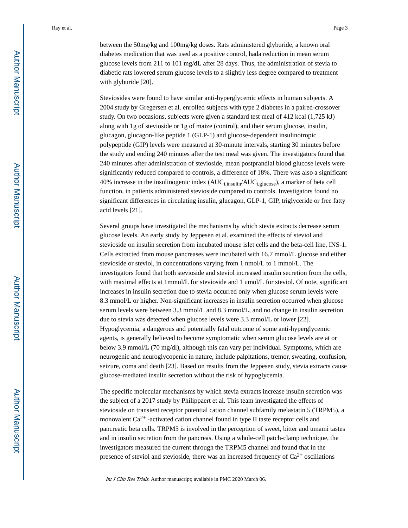between the 50mg/kg and 100mg/kg doses. Rats administered glyburide, a known oral diabetes medication that was used as a positive control, hada reduction in mean serum glucose levels from 211 to 101 mg/dL after 28 days. Thus, the administration of stevia to diabetic rats lowered serum glucose levels to a slightly less degree compared to treatment with glyburide [20].

Steviosides were found to have similar anti-hyperglycemic effects in human subjects. A 2004 study by Gregersen et al. enrolled subjects with type 2 diabetes in a paired-crossover study. On two occasions, subjects were given a standard test meal of 412 kcal (1,725 kJ) along with 1g of stevioside or 1g of maize (control), and their serum glucose, insulin, glucagon, glucagon-like peptide 1 (GLP-1) and glucose-dependent insulinotropic polypeptide (GIP) levels were measured at 30-minute intervals, starting 30 minutes before the study and ending 240 minutes after the test meal was given. The investigators found that 240 minutes after administration of stevioside, mean postprandial blood glucose levels were significantly reduced compared to controls, a difference of 18%. There was also a significant 40% increase in the insulinogenic index  $(AUC_{i,insulin}/AUC_{i,glucose})$ , a marker of beta cell function, in patients administered stevioside compared to controls. Investigators found no significant differences in circulating insulin, glucagon, GLP-1, GIP, triglyceride or free fatty acid levels [21].

Several groups have investigated the mechanisms by which stevia extracts decrease serum glucose levels. An early study by Jeppesen et al. examined the effects of steviol and stevioside on insulin secretion from incubated mouse islet cells and the beta-cell line, INS-1. Cells extracted from mouse pancreases were incubated with 16.7 mmol/L glucose and either stevioside or steviol, in concentrations varying from 1 nmol/L to 1 mmol/L. The investigators found that both stevioside and steviol increased insulin secretion from the cells, with maximal effects at 1mmol/L for stevioside and 1 umol/L for steviol. Of note, significant increases in insulin secretion due to stevia occurred only when glucose serum levels were 8.3 mmol/L or higher. Non-significant increases in insulin secretion occurred when glucose serum levels were between 3.3 mmol/L and 8.3 mmol/L, and no change in insulin secretion due to stevia was detected when glucose levels were 3.3 mmol/L or lower [22]. Hypoglycemia, a dangerous and potentially fatal outcome of some anti-hyperglycemic agents, is generally believed to become symptomatic when serum glucose levels are at or below 3.9 mmol/L (70 mg/dl), although this can vary per individual. Symptoms, which are neurogenic and neuroglycopenic in nature, include palpitations, tremor, sweating, confusion, seizure, coma and death [23]. Based on results from the Jeppesen study, stevia extracts cause glucose-mediated insulin secretion without the risk of hypoglycemia.

The specific molecular mechanisms by which stevia extracts increase insulin secretion was the subject of a 2017 study by Philippaert et al. This team investigated the effects of stevioside on transient receptor potential cation channel subfamily melastatin 5 (TRPM5), a monovalent  $Ca^{2+}$ -activated cation channel found in type II taste receptor cells and pancreatic beta cells. TRPM5 is involved in the perception of sweet, bitter and umami tastes and in insulin secretion from the pancreas. Using a whole-cell patch-clamp technique, the investigators measured the current through the TRPM5 channel and found that in the presence of steviol and stevioside, there was an increased frequency of  $Ca^{2+}$  oscillations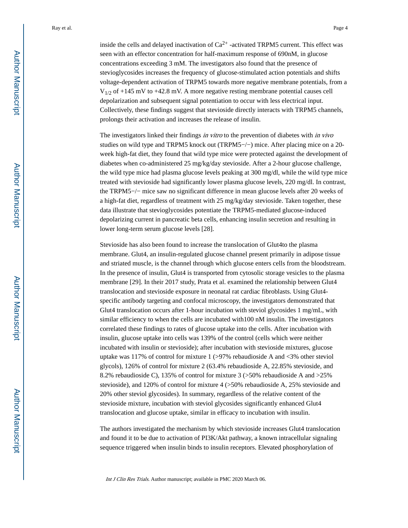inside the cells and delayed inactivation of  $Ca^{2+}$  -activated TRPM5 current. This effect was seen with an effector concentration for half-maximum response of 690nM, in glucose concentrations exceeding 3 mM. The investigators also found that the presence of stevioglycosides increases the frequency of glucose-stimulated action potentials and shifts voltage-dependent activation of TRPM5 towards more negative membrane potentials, from a  $V_{1/2}$  of +145 mV to +42.8 mV. A more negative resting membrane potential causes cell depolarization and subsequent signal potentiation to occur with less electrical input. Collectively, these findings suggest that stevioside directly interacts with TRPM5 channels, prolongs their activation and increases the release of insulin.

The investigators linked their findings in vitro to the prevention of diabetes with in vivo studies on wild type and TRPM5 knock out (TRPM5−/−) mice. After placing mice on a 20 week high-fat diet, they found that wild type mice were protected against the development of diabetes when co-administered 25 mg/kg/day stevioside. After a 2-hour glucose challenge, the wild type mice had plasma glucose levels peaking at 300 mg/dl, while the wild type mice treated with stevioside had significantly lower plasma glucose levels, 220 mg/dl. In contrast, the TRPM5−/− mice saw no significant difference in mean glucose levels after 20 weeks of a high-fat diet, regardless of treatment with 25 mg/kg/day stevioside. Taken together, these data illustrate that stevioglycosides potentiate the TRPM5-mediated glucose-induced depolarizing current in pancreatic beta cells, enhancing insulin secretion and resulting in lower long-term serum glucose levels [28].

Stevioside has also been found to increase the translocation of Glut4to the plasma membrane. Glut4, an insulin-regulated glucose channel present primarily in adipose tissue and striated muscle, is the channel through which glucose enters cells from the bloodstream. In the presence of insulin, Glut4 is transported from cytosolic storage vesicles to the plasma membrane [29]. In their 2017 study, Prata et al. examined the relationship between Glut4 translocation and stevioside exposure in neonatal rat cardiac fibroblasts. Using Glut4 specific antibody targeting and confocal microscopy, the investigators demonstrated that Glut4 translocation occurs after 1-hour incubation with steviol glycosides 1 mg/mL, with similar efficiency to when the cells are incubated with100 nM insulin. The investigators correlated these findings to rates of glucose uptake into the cells. After incubation with insulin, glucose uptake into cells was 139% of the control (cells which were neither incubated with insulin or stevioside); after incubation with stevioside mixtures, glucose uptake was 117% of control for mixture 1  $\geq$ 97% rebaudioside A and <3% other steviol glycols), 126% of control for mixture 2 (63.4% rebaudioside A, 22.85% stevioside, and 8.2% rebaudioside C), 135% of control for mixture 3 (>50% rebaudioside A and >25% stevioside), and 120% of control for mixture 4 (>50% rebaudioside A, 25% stevioside and 20% other steviol glycosides). In summary, regardless of the relative content of the stevioside mixture, incubation with steviol glycosides significantly enhanced Glut4 translocation and glucose uptake, similar in efficacy to incubation with insulin.

The authors investigated the mechanism by which stevioside increases Glut4 translocation and found it to be due to activation of PI3K/Akt pathway, a known intracellular signaling sequence triggered when insulin binds to insulin receptors. Elevated phosphorylation of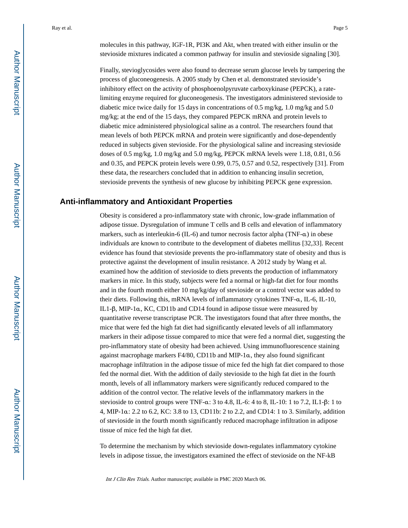molecules in this pathway, IGF-1R, PI3K and Akt, when treated with either insulin or the stevioside mixtures indicated a common pathway for insulin and stevioside signaling [30].

Finally, stevioglycosides were also found to decrease serum glucose levels by tampering the process of gluconeogenesis. A 2005 study by Chen et al. demonstrated stevioside's inhibitory effect on the activity of phosphoenolpyruvate carboxykinase (PEPCK), a ratelimiting enzyme required for gluconeogenesis. The investigators administered stevioside to diabetic mice twice daily for 15 days in concentrations of 0.5 mg/kg, 1.0 mg/kg and 5.0 mg/kg; at the end of the 15 days, they compared PEPCK mRNA and protein levels to diabetic mice administered physiological saline as a control. The researchers found that mean levels of both PEPCK mRNA and protein were significantly and dose-dependently reduced in subjects given stevioside. For the physiological saline and increasing stevioside doses of 0.5 mg/kg, 1.0 mg/kg and 5.0 mg/kg, PEPCK mRNA levels were 1.18, 0.81, 0.56 and 0.35, and PEPCK protein levels were 0.99, 0.75, 0.57 and 0.52, respectively [31]. From these data, the researchers concluded that in addition to enhancing insulin secretion, stevioside prevents the synthesis of new glucose by inhibiting PEPCK gene expression.

#### **Anti-inflammatory and Antioxidant Properties**

Obesity is considered a pro-inflammatory state with chronic, low-grade inflammation of adipose tissue. Dysregulation of immune T cells and B cells and elevation of inflammatory markers, such as interleukin-6 (IL-6) and tumor necrosis factor alpha (TNF-α) in obese individuals are known to contribute to the development of diabetes mellitus [32,33]. Recent evidence has found that stevioside prevents the pro-inflammatory state of obesity and thus is protective against the development of insulin resistance. A 2012 study by Wang et al. examined how the addition of stevioside to diets prevents the production of inflammatory markers in mice. In this study, subjects were fed a normal or high-fat diet for four months and in the fourth month either 10 mg/kg/day of stevioside or a control vector was added to their diets. Following this, mRNA levels of inflammatory cytokines TNF-α, IL-6, IL-10, IL1-β, MIP-1α, KC, CD11b and CD14 found in adipose tissue were measured by quantitative reverse transcriptase PCR. The investigators found that after three months, the mice that were fed the high fat diet had significantly elevated levels of all inflammatory markers in their adipose tissue compared to mice that were fed a normal diet, suggesting the pro-inflammatory state of obesity had been achieved. Using immunofluorescence staining against macrophage markers F4/80, CD11b and MIP-1α, they also found significant macrophage infiltration in the adipose tissue of mice fed the high fat diet compared to those fed the normal diet. With the addition of daily stevioside to the high fat diet in the fourth month, levels of all inflammatory markers were significantly reduced compared to the addition of the control vector. The relative levels of the inflammatory markers in the stevioside to control groups were TNF- $\alpha$ : 3 to 4.8, IL-6: 4 to 8, IL-10: 1 to 7.2, IL1- $\beta$ : 1 to 4, MIP-1α: 2.2 to 6.2, KC: 3.8 to 13, CD11b: 2 to 2.2, and CD14: 1 to 3. Similarly, addition of stevioside in the fourth month significantly reduced macrophage infiltration in adipose tissue of mice fed the high fat diet.

To determine the mechanism by which stevioside down-regulates inflammatory cytokine levels in adipose tissue, the investigators examined the effect of stevioside on the NF-kB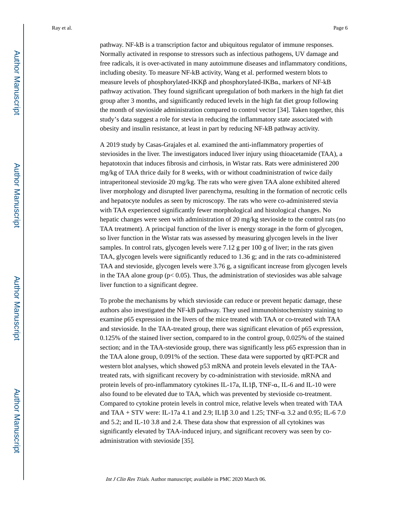pathway. NF-kB is a transcription factor and ubiquitous regulator of immune responses. Normally activated in response to stressors such as infectious pathogens, UV damage and free radicals, it is over-activated in many autoimmune diseases and inflammatory conditions, including obesity. To measure NF-kB activity, Wang et al. performed western blots to measure levels of phosphorylated-IKKβ and phosphorylated-IKBα, markers of NF-kB pathway activation. They found significant upregulation of both markers in the high fat diet group after 3 months, and significantly reduced levels in the high fat diet group following the month of stevioside administration compared to control vector [34]. Taken together, this study's data suggest a role for stevia in reducing the inflammatory state associated with obesity and insulin resistance, at least in part by reducing NF-kB pathway activity.

A 2019 study by Casas-Grajales et al. examined the anti-inflammatory properties of steviosides in the liver. The investigators induced liver injury using thioacetamide (TAA), a hepatotoxin that induces fibrosis and cirrhosis, in Wistar rats. Rats were administered 200 mg/kg of TAA thrice daily for 8 weeks, with or without coadministration of twice daily intraperitoneal stevioside 20 mg/kg. The rats who were given TAA alone exhibited altered liver morphology and disrupted liver parenchyma, resulting in the formation of necrotic cells and hepatocyte nodules as seen by microscopy. The rats who were co-administered stevia with TAA experienced significantly fewer morphological and histological changes. No hepatic changes were seen with administration of 20 mg/kg stevioside to the control rats (no TAA treatment). A principal function of the liver is energy storage in the form of glycogen, so liver function in the Wistar rats was assessed by measuring glycogen levels in the liver samples. In control rats, glycogen levels were 7.12 g per 100 g of liver; in the rats given TAA, glycogen levels were significantly reduced to 1.36 g; and in the rats co-administered TAA and stevioside, glycogen levels were 3.76 g, a significant increase from glycogen levels in the TAA alone group ( $p$ < 0.05). Thus, the administration of steviosides was able salvage liver function to a significant degree.

To probe the mechanisms by which stevioside can reduce or prevent hepatic damage, these authors also investigated the NF-kB pathway. They used immunohistochemistry staining to examine p65 expression in the livers of the mice treated with TAA or co-treated with TAA and stevioside. In the TAA-treated group, there was significant elevation of p65 expression, 0.125% of the stained liver section, compared to in the control group, 0.025% of the stained section; and in the TAA-stevioside group, there was significantly less p65 expression than in the TAA alone group, 0.091% of the section. These data were supported by qRT-PCR and western blot analyses, which showed p53 mRNA and protein levels elevated in the TAAtreated rats, with significant recovery by co-administration with stevioside. mRNA and protein levels of pro-inflammatory cytokines IL-17a, IL1β, TNF-α, IL-6 and IL-10 were also found to be elevated due to TAA, which was prevented by stevioside co-treatment. Compared to cytokine protein levels in control mice, relative levels when treated with TAA and TAA + STV were: IL-17a 4.1 and 2.9; IL1β 3.0 and 1.25; TNF-α 3.2 and 0.95; IL-6 7.0 and 5.2; and IL-10 3.8 and 2.4. These data show that expression of all cytokines was significantly elevated by TAA-induced injury, and significant recovery was seen by coadministration with stevioside [35].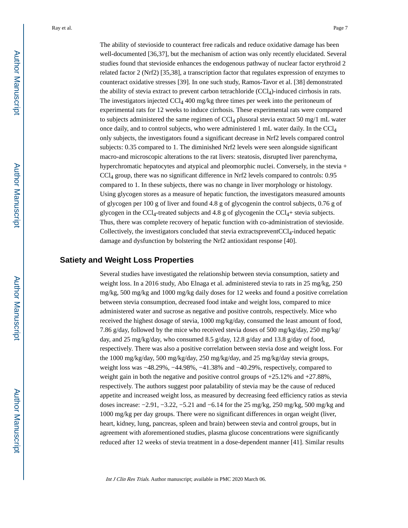The ability of stevioside to counteract free radicals and reduce oxidative damage has been well-documented [36,37], but the mechanism of action was only recently elucidated. Several studies found that stevioside enhances the endogenous pathway of nuclear factor erythroid 2 related factor 2 (Nrf2) [35,38], a transcription factor that regulates expression of enzymes to counteract oxidative stresses [39]. In one such study, Ramos-Tavor et al. [38] demonstrated the ability of stevia extract to prevent carbon tetrachloride (CCl4)-induced cirrhosis in rats. The investigators injected CCl4 400 mg/kg three times per week into the peritoneum of experimental rats for 12 weeks to induce cirrhosis. These experimental rats were compared to subjects administered the same regimen of  $\text{CC}l_4$  plusoral stevia extract 50 mg/1 mL water once daily, and to control subjects, who were administered 1 mL water daily. In the CCl<sup>4</sup> only subjects, the investigators found a significant decrease in Nrf2 levels compared control subjects: 0.35 compared to 1. The diminished Nrf2 levels were seen alongside significant macro-and microscopic alterations to the rat livers: steatosis, disrupted liver parenchyma, hyperchromatic hepatocytes and atypical and pleomorphic nuclei. Conversely, in the stevia + CCl4 group, there was no significant difference in Nrf2 levels compared to controls: 0.95 compared to 1. In these subjects, there was no change in liver morphology or histology. Using glycogen stores as a measure of hepatic function, the investigators measured amounts of glycogen per 100 g of liver and found 4.8 g of glycogenin the control subjects, 0.76 g of glycogen in the CCl<sub>4</sub>-treated subjects and 4.8 g of glycogenin the CCl<sub>4</sub>+ stevia subjects. Thus, there was complete recovery of hepatic function with co-administration of stevioside. Collectively, the investigators concluded that stevia extractspreventCCl4-induced hepatic damage and dysfunction by bolstering the Nrf2 antioxidant response [40].

#### **Satiety and Weight Loss Properties**

Several studies have investigated the relationship between stevia consumption, satiety and weight loss. In a 2016 study, Abo Elnaga et al. administered stevia to rats in 25 mg/kg, 250 mg/kg, 500 mg/kg and 1000 mg/kg daily doses for 12 weeks and found a positive correlation between stevia consumption, decreased food intake and weight loss, compared to mice administered water and sucrose as negative and positive controls, respectively. Mice who received the highest dosage of stevia, 1000 mg/kg/day, consumed the least amount of food, 7.86 g/day, followed by the mice who received stevia doses of 500 mg/kg/day, 250 mg/kg/ day, and 25 mg/kg/day, who consumed 8.5 g/day, 12.8 g/day and 13.8 g/day of food, respectively. There was also a positive correlation between stevia dose and weight loss. For the 1000 mg/kg/day, 500 mg/kg/day, 250 mg/kg/day, and 25 mg/kg/day stevia groups, weight loss was −48.29%, −44.98%, −41.38% and −40.29%, respectively, compared to weight gain in both the negative and positive control groups of  $+25.12\%$  and  $+27.88\%$ , respectively. The authors suggest poor palatability of stevia may be the cause of reduced appetite and increased weight loss, as measured by decreasing feed efficiency ratios as stevia doses increase: −2.91, −3.22, −5.21 and −6.14 for the 25 mg/kg, 250 mg/kg, 500 mg/kg and 1000 mg/kg per day groups. There were no significant differences in organ weight (liver, heart, kidney, lung, pancreas, spleen and brain) between stevia and control groups, but in agreement with aforementioned studies, plasma glucose concentrations were significantly reduced after 12 weeks of stevia treatment in a dose-dependent manner [41]. Similar results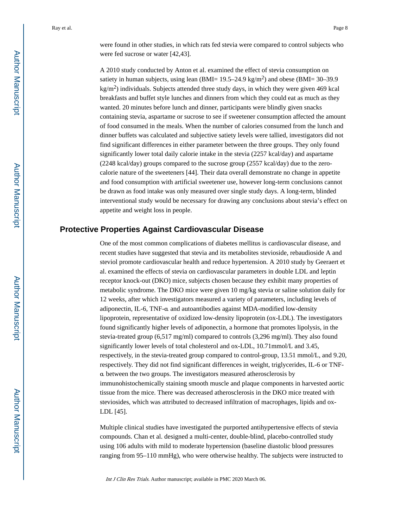were found in other studies, in which rats fed stevia were compared to control subjects who were fed sucrose or water [42,43].

A 2010 study conducted by Anton et al. examined the effect of stevia consumption on satiety in human subjects, using lean (BMI=  $19.5-24.9 \text{ kg/m}^2$ ) and obese (BMI=  $30-39.9$  $\text{kg/m}^2$ ) individuals. Subjects attended three study days, in which they were given 469 kcal breakfasts and buffet style lunches and dinners from which they could eat as much as they wanted. 20 minutes before lunch and dinner, participants were blindly given snacks containing stevia, aspartame or sucrose to see if sweetener consumption affected the amount of food consumed in the meals. When the number of calories consumed from the lunch and dinner buffets was calculated and subjective satiety levels were tallied, investigators did not find significant differences in either parameter between the three groups. They only found significantly lower total daily calorie intake in the stevia (2257 kcal/day) and aspartame (2248 kcal/day) groups compared to the sucrose group (2557 kcal/day) due to the zerocalorie nature of the sweeteners [44]. Their data overall demonstrate no change in appetite and food consumption with artificial sweetener use, however long-term conclusions cannot be drawn as food intake was only measured over single study days. A long-term, blinded interventional study would be necessary for drawing any conclusions about stevia's effect on appetite and weight loss in people.

#### **Protective Properties Against Cardiovascular Disease**

One of the most common complications of diabetes mellitus is cardiovascular disease, and recent studies have suggested that stevia and its metabolites stevioside, rebaudioside A and steviol promote cardiovascular health and reduce hypertension. A 2010 study by Geeraert et al. examined the effects of stevia on cardiovascular parameters in double LDL and leptin receptor knock-out (DKO) mice, subjects chosen because they exhibit many properties of metabolic syndrome. The DKO mice were given 10 mg/kg stevia or saline solution daily for 12 weeks, after which investigators measured a variety of parameters, including levels of adiponectin, IL-6, TNF-α and autoantibodies against MDA-modified low-density lipoprotein, representative of oxidized low-density lipoprotein (ox-LDL). The investigators found significantly higher levels of adiponectin, a hormone that promotes lipolysis, in the stevia-treated group (6,517 mg/ml) compared to controls (3,296 mg/ml). They also found significantly lower levels of total cholesterol and ox-LDL, 10.71mmol/L and 3.45, respectively, in the stevia-treated group compared to control-group, 13.51 mmol/L, and 9.20, respectively. They did not find significant differences in weight, triglycerides, IL-6 or TNFα between the two groups. The investigators measured atherosclerosis by immunohistochemically staining smooth muscle and plaque components in harvested aortic tissue from the mice. There was decreased atherosclerosis in the DKO mice treated with steviosides, which was attributed to decreased infiltration of macrophages, lipids and ox-LDL [45].

Multiple clinical studies have investigated the purported antihypertensive effects of stevia compounds. Chan et al. designed a multi-center, double-blind, placebo-controlled study using 106 adults with mild to moderate hypertension (baseline diastolic blood pressures ranging from 95–110 mmHg), who were otherwise healthy. The subjects were instructed to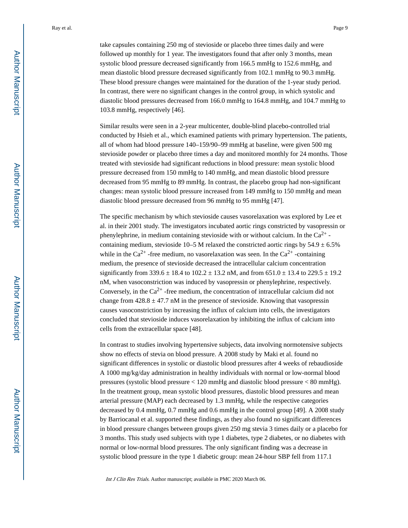take capsules containing 250 mg of stevioside or placebo three times daily and were followed up monthly for 1 year. The investigators found that after only 3 months, mean systolic blood pressure decreased significantly from 166.5 mmHg to 152.6 mmHg, and mean diastolic blood pressure decreased significantly from 102.1 mmHg to 90.3 mmHg. These blood pressure changes were maintained for the duration of the 1-year study period. In contrast, there were no significant changes in the control group, in which systolic and diastolic blood pressures decreased from 166.0 mmHg to 164.8 mmHg, and 104.7 mmHg to 103.8 mmHg, respectively [46].

Similar results were seen in a 2-year multicenter, double-blind placebo-controlled trial conducted by Hsieh et al., which examined patients with primary hypertension. The patients, all of whom had blood pressure 140–159/90–99 mmHg at baseline, were given 500 mg stevioside powder or placebo three times a day and monitored monthly for 24 months. Those treated with stevioside had significant reductions in blood pressure: mean systolic blood pressure decreased from 150 mmHg to 140 mmHg, and mean diastolic blood pressure decreased from 95 mmHg to 89 mmHg. In contrast, the placebo group had non-significant changes: mean systolic blood pressure increased from 149 mmHg to 150 mmHg and mean diastolic blood pressure decreased from 96 mmHg to 95 mmHg [47].

The specific mechanism by which stevioside causes vasorelaxation was explored by Lee et al. in their 2001 study. The investigators incubated aortic rings constricted by vasopressin or phenylephrine, in medium containing stevioside with or without calcium. In the  $Ca^{2+}$  containing medium, stevioside 10–5 M relaxed the constricted aortic rings by  $54.9 \pm 6.5\%$ while in the Ca<sup>2+</sup> -free medium, no vasorelaxation was seen. In the Ca<sup>2+</sup> -containing medium, the presence of stevioside decreased the intracellular calcium concentration significantly from 339.6  $\pm$  18.4 to 102.2  $\pm$  13.2 nM, and from 651.0  $\pm$  13.4 to 229.5  $\pm$  19.2 nM, when vasoconstriction was induced by vasopressin or phenylephrine, respectively. Conversely, in the  $Ca^{2+}$ -free medium, the concentration of intracellular calcium did not change from  $428.8 \pm 47.7$  nM in the presence of stevioside. Knowing that vasopressin causes vasoconstriction by increasing the influx of calcium into cells, the investigators concluded that stevioside induces vasorelaxation by inhibiting the influx of calcium into cells from the extracellular space [48].

In contrast to studies involving hypertensive subjects, data involving normotensive subjects show no effects of stevia on blood pressure. A 2008 study by Maki et al. found no significant differences in systolic or diastolic blood pressures after 4 weeks of rebaudioside A 1000 mg/kg/day administration in healthy individuals with normal or low-normal blood pressures (systolic blood pressure < 120 mmHg and diastolic blood pressure < 80 mmHg). In the treatment group, mean systolic blood pressures, diastolic blood pressures and mean arterial pressure (MAP) each decreased by 1.3 mmHg, while the respective categories decreased by 0.4 mmHg, 0.7 mmHg and 0.6 mmHg in the control group [49]. A 2008 study by Barriocanal et al. supported these findings, as they also found no significant differences in blood pressure changes between groups given 250 mg stevia 3 times daily or a placebo for 3 months. This study used subjects with type 1 diabetes, type 2 diabetes, or no diabetes with normal or low-normal blood pressures. The only significant finding was a decrease in systolic blood pressure in the type 1 diabetic group: mean 24-hour SBP fell from 117.1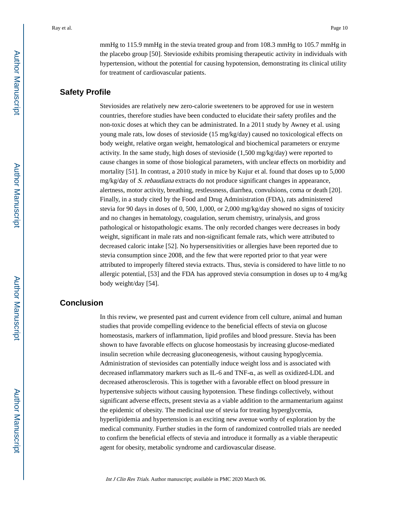mmHg to 115.9 mmHg in the stevia treated group and from 108.3 mmHg to 105.7 mmHg in the placebo group [50]. Stevioside exhibits promising therapeutic activity in individuals with hypertension, without the potential for causing hypotension, demonstrating its clinical utility for treatment of cardiovascular patients.

#### **Safety Profile**

Steviosides are relatively new zero-calorie sweeteners to be approved for use in western countries, therefore studies have been conducted to elucidate their safety profiles and the non-toxic doses at which they can be administrated. In a 2011 study by Awney et al. using young male rats, low doses of stevioside (15 mg/kg/day) caused no toxicological effects on body weight, relative organ weight, hematological and biochemical parameters or enzyme activity. In the same study, high doses of stevioside (1,500 mg/kg/day) were reported to cause changes in some of those biological parameters, with unclear effects on morbidity and mortality [51]. In contrast, a 2010 study in mice by Kujur et al. found that doses up to 5,000  $mg/kg/day$  of *S. rebaudiana* extracts do not produce significant changes in appearance, alertness, motor activity, breathing, restlessness, diarrhea, convulsions, coma or death [20]. Finally, in a study cited by the Food and Drug Administration (FDA), rats administered stevia for 90 days in doses of 0, 500, 1,000, or 2,000 mg/kg/day showed no signs of toxicity and no changes in hematology, coagulation, serum chemistry, urinalysis, and gross pathological or histopathologic exams. The only recorded changes were decreases in body weight, significant in male rats and non-significant female rats, which were attributed to decreased caloric intake [52]. No hypersensitivities or allergies have been reported due to stevia consumption since 2008, and the few that were reported prior to that year were attributed to improperly filtered stevia extracts. Thus, stevia is considered to have little to no allergic potential, [53] and the FDA has approved stevia consumption in doses up to 4 mg/kg body weight/day [54].

### **Conclusion**

In this review, we presented past and current evidence from cell culture, animal and human studies that provide compelling evidence to the beneficial effects of stevia on glucose homeostasis, markers of inflammation, lipid profiles and blood pressure. Stevia has been shown to have favorable effects on glucose homeostasis by increasing glucose-mediated insulin secretion while decreasing gluconeogenesis, without causing hypoglycemia. Administration of steviosides can potentially induce weight loss and is associated with decreased inflammatory markers such as IL-6 and TNF-α, as well as oxidized-LDL and decreased atherosclerosis. This is together with a favorable effect on blood pressure in hypertensive subjects without causing hypotension. These findings collectively, without significant adverse effects, present stevia as a viable addition to the armamentarium against the epidemic of obesity. The medicinal use of stevia for treating hyperglycemia, hyperlipidemia and hypertension is an exciting new avenue worthy of exploration by the medical community. Further studies in the form of randomized controlled trials are needed to confirm the beneficial effects of stevia and introduce it formally as a viable therapeutic agent for obesity, metabolic syndrome and cardiovascular disease.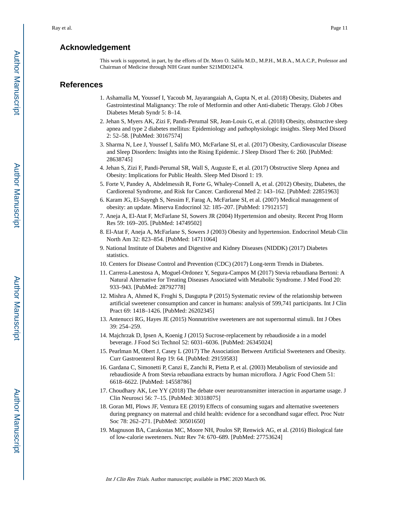#### **Acknowledgement**

This work is supported, in part, by the efforts of Dr. Moro O. Salifu M.D., M.P.H., M.B.A., M.A.C.P., Professor and Chairman of Medicine through NIH Grant number S21MD012474.

#### **References**

- 1. Ashamalla M, Youssef I, Yacoub M, Jayarangaiah A, Gupta N, et al. (2018) Obesity, Diabetes and Gastrointestinal Malignancy: The role of Metformin and other Anti-diabetic Therapy. Glob J Obes Diabetes Metab Syndr 5: 8–14.
- 2. Jehan S, Myers AK, Zizi F, Pandi-Perumal SR, Jean-Louis G, et al. (2018) Obesity, obstructive sleep apnea and type 2 diabetes mellitus: Epidemiology and pathophysiologic insights. Sleep Med Disord 2: 52–58. [PubMed: 30167574]
- 3. Sharma N, Lee J, Youssef I, Salifu MO, McFarlane SI, et al. (2017) Obesity, Cardiovascular Disease and Sleep Disorders: Insights into the Rising Epidemic. J Sleep Disord Ther 6: 260. [PubMed: 28638745]
- 4. Jehan S, Zizi F, Pandi-Perumal SR, Wall S, Auguste E, et al. (2017) Obstructive Sleep Apnea and Obesity: Implications for Public Health. Sleep Med Disord 1: 19.
- 5. Forte V, Pandey A, Abdelmessih R, Forte G, Whaley-Connell A, et al. (2012) Obesity, Diabetes, the Cardiorenal Syndrome, and Risk for Cancer. Cardiorenal Med 2: 143–162. [PubMed: 22851963]
- 6. Karam JG, El-Sayegh S, Nessim F, Farag A, McFarlane SI, et al. (2007) Medical management of obesity: an update. Minerva Endocrinol 32: 185–207. [PubMed: 17912157]
- 7. Aneja A, El-Atat F, McFarlane SI, Sowers JR (2004) Hypertension and obesity. Recent Prog Horm Res 59: 169–205. [PubMed: 14749502]
- 8. El-Atat F, Aneja A, McFarlane S, Sowers J (2003) Obesity and hypertension. Endocrinol Metab Clin North Am 32: 823–854. [PubMed: 14711064]
- 9. National Institute of Diabetes and Digestive and Kidney Diseases (NIDDK) (2017) Diabetes statistics.
- 10. Centers for Disease Control and Prevention (CDC) (2017) Long-term Trends in Diabetes.
- 11. Carrera-Lanestosa A, Moguel-Ordonez Y, Segura-Campos M (2017) Stevia rebaudiana Bertoni: A Natural Alternative for Treating Diseases Associated with Metabolic Syndrome. J Med Food 20: 933–943. [PubMed: 28792778]
- 12. Mishra A, Ahmed K, Froghi S, Dasgupta P (2015) Systematic review of the relationship between artificial sweetener consumption and cancer in humans: analysis of 599,741 participants. Int J Clin Pract 69: 1418–1426. [PubMed: 26202345]
- 13. Antenucci RG, Hayes JE (2015) Nonnutritive sweeteners are not supernormal stimuli. Int J Obes 39: 254–259.
- 14. Majchrzak D, Ipsen A, Koenig J (2015) Sucrose-replacement by rebaudioside a in a model beverage. J Food Sci Technol 52: 6031–6036. [PubMed: 26345024]
- 15. Pearlman M, Obert J, Casey L (2017) The Association Between Artificial Sweeteners and Obesity. Curr Gastroenterol Rep 19: 64. [PubMed: 29159583]
- 16. Gardana C, Simonetti P, Canzi E, Zanchi R, Pietta P, et al. (2003) Metabolism of stevioside and rebaudioside A from Stevia rebaudiana extracts by human microflora. J Agric Food Chem 51: 6618–6622. [PubMed: 14558786]
- 17. Choudhary AK, Lee YY (2018) The debate over neurotransmitter interaction in aspartame usage. J Clin Neurosci 56: 7–15. [PubMed: 30318075]
- 18. Goran MI, Plows JF, Ventura EE (2019) Effects of consuming sugars and alternative sweeteners during pregnancy on maternal and child health: evidence for a secondhand sugar effect. Proc Nutr Soc 78: 262–271. [PubMed: 30501650]
- 19. Magnuson BA, Carakostas MC, Moore NH, Poulos SP, Renwick AG, et al. (2016) Biological fate of low-calorie sweeteners. Nutr Rev 74: 670–689. [PubMed: 27753624]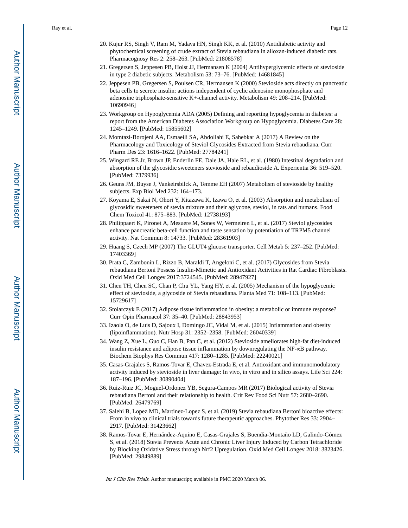- 20. Kujur RS, Singh V, Ram M, Yadava HN, Singh KK, et al. (2010) Antidiabetic activity and phytochemical screening of crude extract of Stevia rebaudiana in alloxan-induced diabetic rats. Pharmacognosy Res 2: 258–263. [PubMed: 21808578]
- 21. Gregersen S, Jeppesen PB, Holst JJ, Hermansen K (2004) Antihyperglycemic effects of stevioside in type 2 diabetic subjects. Metabolism 53: 73–76. [PubMed: 14681845]
- 22. Jeppesen PB, Gregersen S, Poulsen CR, Hermansen K (2000) Stevioside acts directly on pancreatic beta cells to secrete insulin: actions independent of cyclic adenosine monophosphate and adenosine triphosphate-sensitive K+-channel activity. Metabolism 49: 208–214. [PubMed: 10690946]
- 23. Workgroup on Hypoglycemia ADA (2005) Defining and reporting hypoglycemia in diabetes: a report from the American Diabetes Association Workgroup on Hypoglycemia. Diabetes Care 28: 1245–1249. [PubMed: 15855602]
- 24. Momtazi-Borojeni AA, Esmaeili SA, Abdollahi E, Sahebkar A (2017) A Review on the Pharmacology and Toxicology of Steviol Glycosides Extracted from Stevia rebaudiana. Curr Pharm Des 23: 1616–1622. [PubMed: 27784241]
- 25. Wingard RE Jr, Brown JP, Enderlin FE, Dale JA, Hale RL, et al. (1980) Intestinal degradation and absorption of the glycosidic sweeteners stevioside and rebaudioside A. Experientia 36: 519–520. [PubMed: 7379936]
- 26. Geuns JM, Buyse J, Vankeirsbilck A, Temme EH (2007) Metabolism of stevioside by healthy subjects. Exp Biol Med 232: 164–173.
- 27. Koyama E, Sakai N, Ohori Y, Kitazawa K, Izawa O, et al. (2003) Absorption and metabolism of glycosidic sweeteners of stevia mixture and their aglycone, steviol, in rats and humans. Food Chem Toxicol 41: 875–883. [PubMed: 12738193]
- 28. Philippaert K, Pironet A, Mesuere M, Sones W, Vermeiren L, et al. (2017) Steviol glycosides enhance pancreatic beta-cell function and taste sensation by potentiation of TRPM5 channel activity. Nat Commun 8: 14733. [PubMed: 28361903]
- 29. Huang S, Czech MP (2007) The GLUT4 glucose transporter. Cell Metab 5: 237–252. [PubMed: 17403369]
- 30. Prata C, Zambonin L, Rizzo B, Maraldi T, Angeloni C, et al. (2017) Glycosides from Stevia rebaudiana Bertoni Possess Insulin-Mimetic and Antioxidant Activities in Rat Cardiac Fibroblasts. Oxid Med Cell Longev 2017:3724545. [PubMed: 28947927]
- 31. Chen TH, Chen SC, Chan P, Chu YL, Yang HY, et al. (2005) Mechanism of the hypoglycemic effect of stevioside, a glycoside of Stevia rebaudiana. Planta Med 71: 108–113. [PubMed: 15729617]
- 32. Stolarczyk E (2017) Adipose tissue inflammation in obesity: a metabolic or immune response? Curr Opin Pharmacol 37: 35–40. [PubMed: 28843953]
- 33. Izaola O, de Luis D, Sajoux I, Domingo JC, Vidal M, et al. (2015) Inflammation and obesity (lipoinflammation). Nutr Hosp 31: 2352–2358. [PubMed: 26040339]
- 34. Wang Z, Xue L, Guo C, Han B, Pan C, et al. (2012) Stevioside ameliorates high-fat diet-induced insulin resistance and adipose tissue inflammation by downregulating the NF-κB pathway. Biochem Biophys Res Commun 417: 1280–1285. [PubMed: 22240021]
- 35. Casas-Grajales S, Ramos-Tovar E, Chavez-Estrada E, et al. Antioxidant and immunomodulatory activity induced by stevioside in liver damage: In vivo, in vitro and in silico assays. Life Sci 224: 187–196. [PubMed: 30890404]
- 36. Ruiz-Ruiz JC, Moguel-Ordonez YB, Segura-Campos MR (2017) Biological activity of Stevia rebaudiana Bertoni and their relationship to health. Crit Rev Food Sci Nutr 57: 2680–2690. [PubMed: 26479769]
- 37. Salehi B, Lopez MD, Martinez-Lopez S, et al. (2019) Stevia rebaudiana Bertoni bioactive effects: From in vivo to clinical trials towards future therapeutic approaches. Phytother Res 33: 2904– 2917. [PubMed: 31423662]
- 38. Ramos-Tovar E, Hernández-Aquino E, Casas-Grajales S, Buendia-Montaño LD, Galindo-Gómez S, et al. (2018) Stevia Prevents Acute and Chronic Liver Injury Induced by Carbon Tetrachloride by Blocking Oxidative Stress through Nrf2 Upregulation. Oxid Med Cell Longev 2018: 3823426. [PubMed: 29849889]